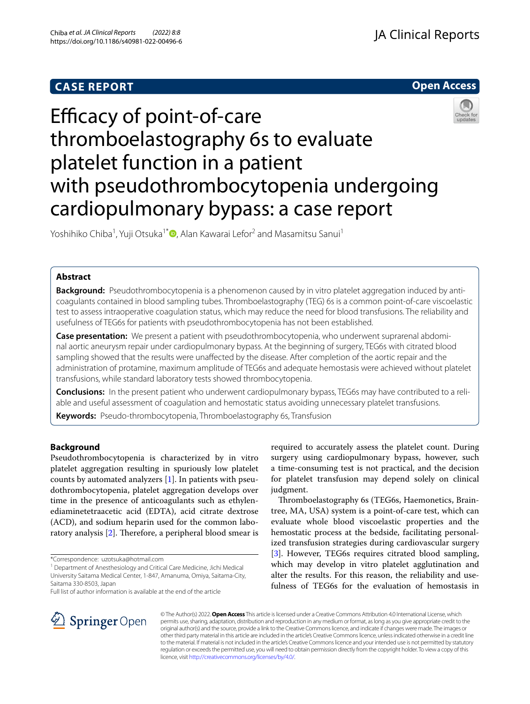## **CASE REPORT**



# Efficacy of point-of-care thromboelastography 6s to evaluate platelet function in a patient with pseudothrombocytopenia undergoing cardiopulmonary bypass: a case report

Yoshihiko Chiba<sup>1</sup>, Yuji Otsuka<sup>1[\\*](http://orcid.org/0000-0003-4715-3808)</sup> (D, Alan Kawarai Lefor<sup>2</sup> and Masamitsu Sanui<sup>1</sup>

## **Abstract**

**Background:** Pseudothrombocytopenia is a phenomenon caused by in vitro platelet aggregation induced by anticoagulants contained in blood sampling tubes. Thromboelastography (TEG) 6s is a common point-of-care viscoelastic test to assess intraoperative coagulation status, which may reduce the need for blood transfusions. The reliability and usefulness of TEG6s for patients with pseudothrombocytopenia has not been established.

**Case presentation:** We present a patient with pseudothrombocytopenia, who underwent suprarenal abdominal aortic aneurysm repair under cardiopulmonary bypass. At the beginning of surgery, TEG6s with citrated blood sampling showed that the results were unafected by the disease. After completion of the aortic repair and the administration of protamine, maximum amplitude of TEG6s and adequate hemostasis were achieved without platelet transfusions, while standard laboratory tests showed thrombocytopenia.

**Conclusions:** In the present patient who underwent cardiopulmonary bypass, TEG6s may have contributed to a reliable and useful assessment of coagulation and hemostatic status avoiding unnecessary platelet transfusions.

**Keywords:** Pseudo-thrombocytopenia, Thromboelastography 6s, Transfusion

## **Background**

Pseudothrombocytopenia is characterized by in vitro platelet aggregation resulting in spuriously low platelet counts by automated analyzers [\[1](#page-3-0)]. In patients with pseudothrombocytopenia, platelet aggregation develops over time in the presence of anticoagulants such as ethylenediaminetetraacetic acid (EDTA), acid citrate dextrose (ACD), and sodium heparin used for the common labo-ratory analysis [[2\]](#page-3-1). Therefore, a peripheral blood smear is

<sup>1</sup> Department of Anesthesiology and Critical Care Medicine, Jichi Medical University Saitama Medical Center, 1-847, Amanuma, Omiya, Saitama-City, Saitama 330-8503, Japan

Full list of author information is available at the end of the article

required to accurately assess the platelet count. During surgery using cardiopulmonary bypass, however, such a time-consuming test is not practical, and the decision for platelet transfusion may depend solely on clinical judgment.

Thromboelastography 6s (TEG6s, Haemonetics, Braintree, MA, USA) system is a point-of-care test, which can evaluate whole blood viscoelastic properties and the hemostatic process at the bedside, facilitating personalized transfusion strategies during cardiovascular surgery [[3\]](#page-3-2). However, TEG6s requires citrated blood sampling, which may develop in vitro platelet agglutination and alter the results. For this reason, the reliability and usefulness of TEG6s for the evaluation of hemostasis in



© The Author(s) 2022. **Open Access** This article is licensed under a Creative Commons Attribution 4.0 International License, which permits use, sharing, adaptation, distribution and reproduction in any medium or format, as long as you give appropriate credit to the original author(s) and the source, provide a link to the Creative Commons licence, and indicate if changes were made. The images or other third party material in this article are included in the article's Creative Commons licence, unless indicated otherwise in a credit line to the material. If material is not included in the article's Creative Commons licence and your intended use is not permitted by statutory regulation or exceeds the permitted use, you will need to obtain permission directly from the copyright holder. To view a copy of this licence, visit [http://creativecommons.org/licenses/by/4.0/.](http://creativecommons.org/licenses/by/4.0/)

<sup>\*</sup>Correspondence: uzotsuka@hotmail.com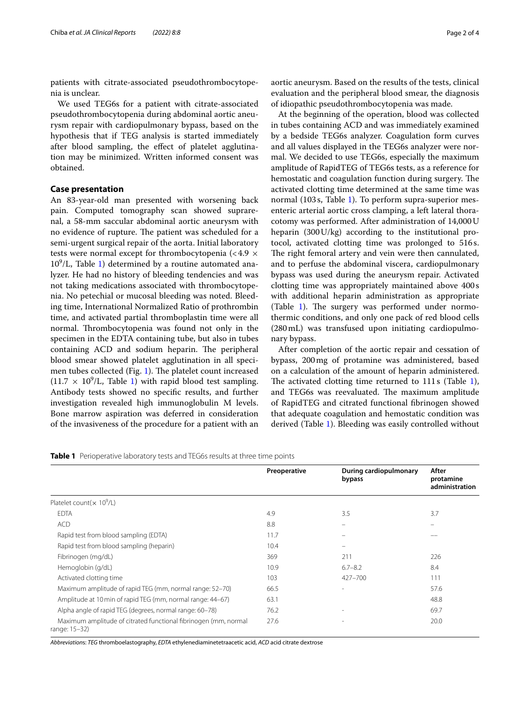patients with citrate-associated pseudothrombocytopenia is unclear.

We used TEG6s for a patient with citrate-associated pseudothrombocytopenia during abdominal aortic aneurysm repair with cardiopulmonary bypass, based on the hypothesis that if TEG analysis is started immediately after blood sampling, the efect of platelet agglutination may be minimized. Written informed consent was obtained.

## **Case presentation**

An 83-year-old man presented with worsening back pain. Computed tomography scan showed suprarenal, a 58-mm saccular abdominal aortic aneurysm with no evidence of rupture. The patient was scheduled for a semi-urgent surgical repair of the aorta. Initial laboratory tests were normal except for thrombocytopenia (<4.9  $\times$  $10^9$  $10^9$ /L, Table 1) determined by a routine automated analyzer. He had no history of bleeding tendencies and was not taking medications associated with thrombocytopenia. No petechial or mucosal bleeding was noted. Bleeding time, International Normalized Ratio of prothrombin time, and activated partial thromboplastin time were all normal. Thrombocytopenia was found not only in the specimen in the EDTA containing tube, but also in tubes containing ACD and sodium heparin. The peripheral blood smear showed platelet agglutination in all speci-men tubes collected (Fig. [1\)](#page-2-0). The platelet count increased  $(11.7 \times 10^9)$  $(11.7 \times 10^9)$  $(11.7 \times 10^9)$ L, Table 1) with rapid blood test sampling. Antibody tests showed no specifc results, and further investigation revealed high immunoglobulin M levels. Bone marrow aspiration was deferred in consideration of the invasiveness of the procedure for a patient with an

aortic aneurysm. Based on the results of the tests, clinical evaluation and the peripheral blood smear, the diagnosis of idiopathic pseudothrombocytopenia was made.

At the beginning of the operation, blood was collected in tubes containing ACD and was immediately examined by a bedside TEG6s analyzer. Coagulation form curves and all values displayed in the TEG6s analyzer were normal. We decided to use TEG6s, especially the maximum amplitude of RapidTEG of TEG6s tests, as a reference for hemostatic and coagulation function during surgery. The activated clotting time determined at the same time was normal (103s, Table [1\)](#page-1-0). To perform supra-superior mesenteric arterial aortic cross clamping, a left lateral thoracotomy was performed. After administration of 14,000U heparin (300U/kg) according to the institutional protocol, activated clotting time was prolonged to 516s. The right femoral artery and vein were then cannulated, and to perfuse the abdominal viscera, cardiopulmonary bypass was used during the aneurysm repair. Activated clotting time was appropriately maintained above 400 s with additional heparin administration as appropriate (Table [1\)](#page-1-0). The surgery was performed under normothermic conditions, and only one pack of red blood cells (280mL) was transfused upon initiating cardiopulmonary bypass.

After completion of the aortic repair and cessation of bypass, 200mg of protamine was administered, based on a calculation of the amount of heparin administered. The activated clotting time returned to  $111s$  $111s$  (Table 1), and TEG6s was reevaluated. The maximum amplitude of RapidTEG and citrated functional fbrinogen showed that adequate coagulation and hemostatic condition was derived (Table [1](#page-1-0)). Bleeding was easily controlled without

<span id="page-1-0"></span>**Table 1** Perioperative laboratory tests and TEG6s results at three time points

|                                                                                  | Preoperative | During cardiopulmonary<br>bypass | After<br>protamine<br>administration |
|----------------------------------------------------------------------------------|--------------|----------------------------------|--------------------------------------|
| Platelet count( $\times$ 10 <sup>9</sup> /L)                                     |              |                                  |                                      |
| <b>EDTA</b>                                                                      | 4.9          | 3.5                              | 3.7                                  |
| <b>ACD</b>                                                                       | 8.8          |                                  |                                      |
| Rapid test from blood sampling (EDTA)                                            | 11.7         |                                  |                                      |
| Rapid test from blood sampling (heparin)                                         | 10.4         |                                  |                                      |
| Fibrinogen (mg/dL)                                                               | 369          | 211                              | 226                                  |
| Hemoglobin (g/dL)                                                                | 10.9         | $6.7 - 8.2$                      | 8.4                                  |
| Activated clotting time                                                          | 103          | 427-700                          | 111                                  |
| Maximum amplitude of rapid TEG (mm, normal range: 52-70)                         | 66.5         |                                  | 57.6                                 |
| Amplitude at 10 min of rapid TEG (mm, normal range: 44-67)                       | 63.1         |                                  | 48.8                                 |
| Alpha angle of rapid TEG (degrees, normal range: 60-78)                          | 76.2         | $\overline{a}$                   | 69.7                                 |
| Maximum amplitude of citrated functional fibrinogen (mm, normal<br>range: 15-32) | 27.6         |                                  | 20.0                                 |

*Abbreviation*s: *TEG* thromboelastography, *EDTA* ethylenediaminetetraacetic acid, *ACD* acid citrate dextrose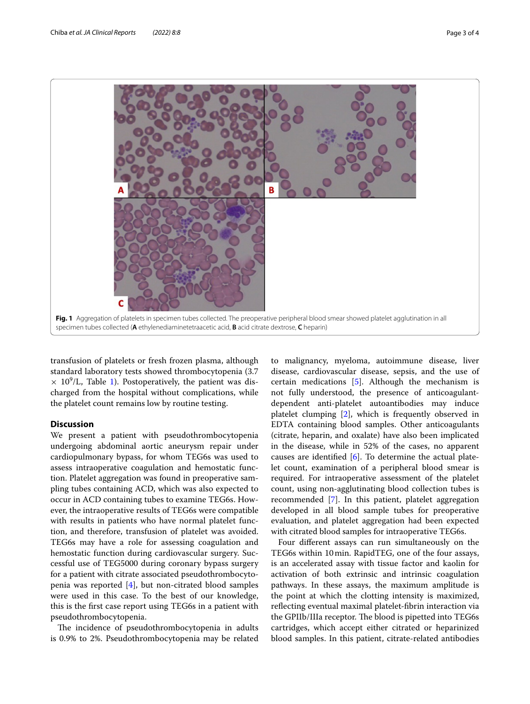

<span id="page-2-0"></span>transfusion of platelets or fresh frozen plasma, although standard laboratory tests showed thrombocytopenia (3.7  $\times$  [1](#page-1-0)0<sup>9</sup>/L, Table 1). Postoperatively, the patient was discharged from the hospital without complications, while the platelet count remains low by routine testing.

## **Discussion**

We present a patient with pseudothrombocytopenia undergoing abdominal aortic aneurysm repair under cardiopulmonary bypass, for whom TEG6s was used to assess intraoperative coagulation and hemostatic function. Platelet aggregation was found in preoperative sampling tubes containing ACD, which was also expected to occur in ACD containing tubes to examine TEG6s. However, the intraoperative results of TEG6s were compatible with results in patients who have normal platelet function, and therefore, transfusion of platelet was avoided. TEG6s may have a role for assessing coagulation and hemostatic function during cardiovascular surgery. Successful use of TEG5000 during coronary bypass surgery for a patient with citrate associated pseudothrombocytopenia was reported [\[4](#page-3-3)], but non-citrated blood samples were used in this case. To the best of our knowledge, this is the frst case report using TEG6s in a patient with pseudothrombocytopenia.

The incidence of pseudothrombocytopenia in adults is 0.9% to 2%. Pseudothrombocytopenia may be related

to malignancy, myeloma, autoimmune disease, liver disease, cardiovascular disease, sepsis, and the use of certain medications [\[5](#page-3-4)]. Although the mechanism is not fully understood, the presence of anticoagulantdependent anti-platelet autoantibodies may induce platelet clumping [\[2\]](#page-3-1), which is frequently observed in EDTA containing blood samples. Other anticoagulants (citrate, heparin, and oxalate) have also been implicated in the disease, while in 52% of the cases, no apparent causes are identified  $[6]$  $[6]$  $[6]$ . To determine the actual platelet count, examination of a peripheral blood smear is required. For intraoperative assessment of the platelet count, using non-agglutinating blood collection tubes is recommended [[7\]](#page-3-6). In this patient, platelet aggregation developed in all blood sample tubes for preoperative evaluation, and platelet aggregation had been expected with citrated blood samples for intraoperative TEG6s.

Four diferent assays can run simultaneously on the TEG6s within 10min. RapidTEG, one of the four assays, is an accelerated assay with tissue factor and kaolin for activation of both extrinsic and intrinsic coagulation pathways. In these assays, the maximum amplitude is the point at which the clotting intensity is maximized, refecting eventual maximal platelet-fbrin interaction via the GPIIb/IIIa receptor. The blood is pipetted into TEG6s cartridges, which accept either citrated or heparinized blood samples. In this patient, citrate-related antibodies